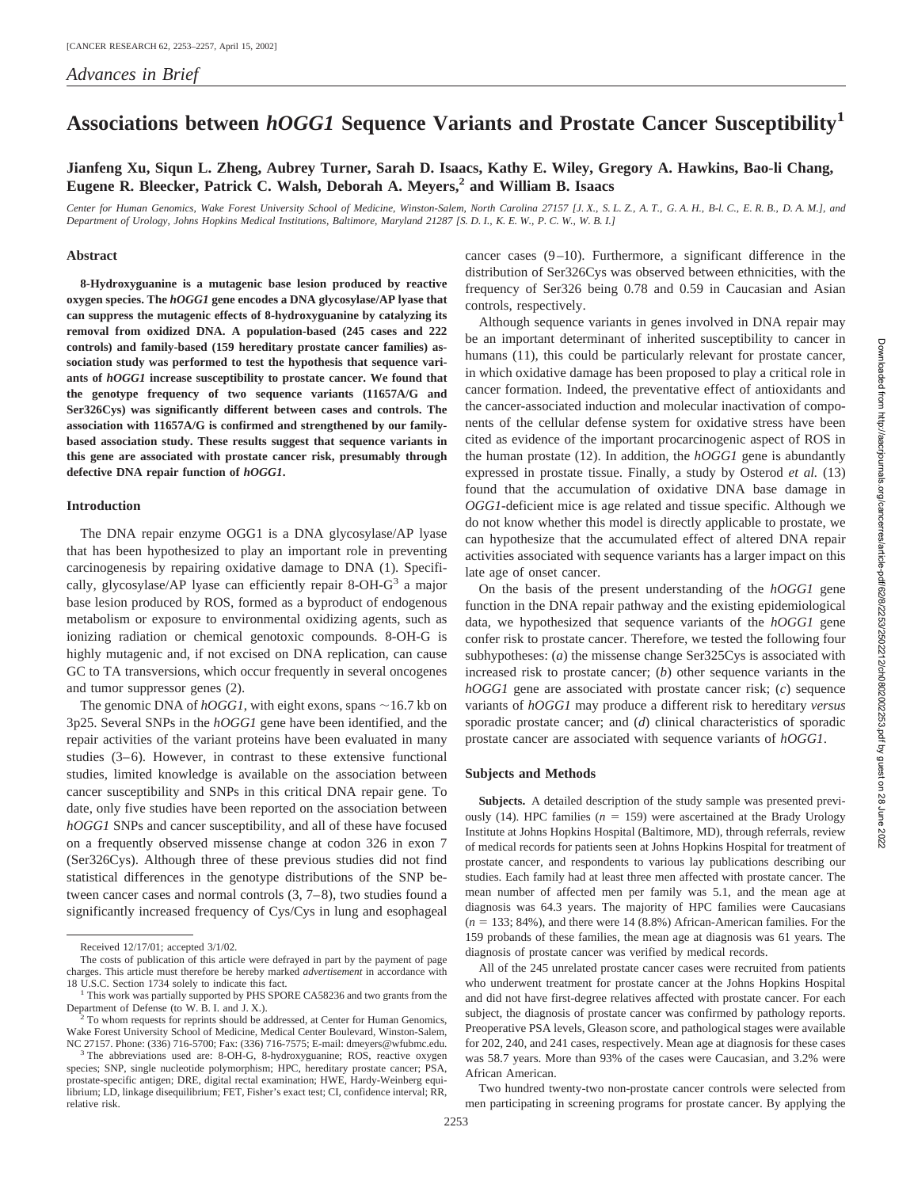# **Associations between** *hOGG1* **Sequence Variants and Prostate Cancer Susceptibility<sup>1</sup>**

# **Jianfeng Xu, Siqun L. Zheng, Aubrey Turner, Sarah D. Isaacs, Kathy E. Wiley, Gregory A. Hawkins, Bao-li Chang, Eugene R. Bleecker, Patrick C. Walsh, Deborah A. Meyers,2 and William B. Isaacs**

*Center for Human Genomics, Wake Forest University School of Medicine, Winston-Salem, North Carolina 27157 [J. X., S. L. Z., A. T., G. A. H., B-l. C., E. R. B., D. A. M.], and Department of Urology, Johns Hopkins Medical Institutions, Baltimore, Maryland 21287 [S. D. I., K. E. W., P. C. W., W. B. I.]*

#### **Abstract**

**8-Hydroxyguanine is a mutagenic base lesion produced by reactive oxygen species. The** *hOGG1* **gene encodes a DNA glycosylase/AP lyase that can suppress the mutagenic effects of 8-hydroxyguanine by catalyzing its removal from oxidized DNA. A population-based (245 cases and 222 controls) and family-based (159 hereditary prostate cancer families) association study was performed to test the hypothesis that sequence variants of** *hOGG1* **increase susceptibility to prostate cancer. We found that the genotype frequency of two sequence variants (11657A/G and Ser326Cys) was significantly different between cases and controls. The association with 11657A/G is confirmed and strengthened by our familybased association study. These results suggest that sequence variants in this gene are associated with prostate cancer risk, presumably through defective DNA repair function of** *hOGG1***.**

## **Introduction**

The DNA repair enzyme OGG1 is a DNA glycosylase/AP lyase that has been hypothesized to play an important role in preventing carcinogenesis by repairing oxidative damage to DNA (1). Specifically, glycosylase/AP lyase can efficiently repair 8-OH- $G<sup>3</sup>$  a major base lesion produced by ROS, formed as a byproduct of endogenous metabolism or exposure to environmental oxidizing agents, such as ionizing radiation or chemical genotoxic compounds. 8-OH-G is highly mutagenic and, if not excised on DNA replication, can cause GC to TA transversions, which occur frequently in several oncogenes and tumor suppressor genes (2).

The genomic DNA of  $hOGGI$ , with eight exons, spans  $\sim$  16.7 kb on 3p25. Several SNPs in the *hOGG1* gene have been identified, and the repair activities of the variant proteins have been evaluated in many studies (3–6). However, in contrast to these extensive functional studies, limited knowledge is available on the association between cancer susceptibility and SNPs in this critical DNA repair gene. To date, only five studies have been reported on the association between *hOGG1* SNPs and cancer susceptibility, and all of these have focused on a frequently observed missense change at codon 326 in exon 7 (Ser326Cys). Although three of these previous studies did not find statistical differences in the genotype distributions of the SNP between cancer cases and normal controls (3, 7–8), two studies found a significantly increased frequency of Cys/Cys in lung and esophageal

cancer cases (9–10). Furthermore, a significant difference in the distribution of Ser326Cys was observed between ethnicities, with the frequency of Ser326 being 0.78 and 0.59 in Caucasian and Asian controls, respectively.

Although sequence variants in genes involved in DNA repair may be an important determinant of inherited susceptibility to cancer in humans (11), this could be particularly relevant for prostate cancer, in which oxidative damage has been proposed to play a critical role in cancer formation. Indeed, the preventative effect of antioxidants and the cancer-associated induction and molecular inactivation of components of the cellular defense system for oxidative stress have been cited as evidence of the important procarcinogenic aspect of ROS in the human prostate (12). In addition, the *hOGG1* gene is abundantly expressed in prostate tissue. Finally, a study by Osterod *et al.* (13) found that the accumulation of oxidative DNA base damage in *OGG1*-deficient mice is age related and tissue specific. Although we do not know whether this model is directly applicable to prostate, we can hypothesize that the accumulated effect of altered DNA repair activities associated with sequence variants has a larger impact on this late age of onset cancer.

On the basis of the present understanding of the *hOGG1* gene function in the DNA repair pathway and the existing epidemiological data, we hypothesized that sequence variants of the *hOGG1* gene confer risk to prostate cancer. Therefore, we tested the following four subhypotheses: (*a*) the missense change Ser325Cys is associated with increased risk to prostate cancer; (*b*) other sequence variants in the *hOGG1* gene are associated with prostate cancer risk; (*c*) sequence variants of *hOGG1* may produce a different risk to hereditary *versus* sporadic prostate cancer; and (*d*) clinical characteristics of sporadic prostate cancer are associated with sequence variants of *hOGG1*.

## **Subjects and Methods**

**Subjects.** A detailed description of the study sample was presented previously (14). HPC families  $(n = 159)$  were ascertained at the Brady Urology Institute at Johns Hopkins Hospital (Baltimore, MD), through referrals, review of medical records for patients seen at Johns Hopkins Hospital for treatment of prostate cancer, and respondents to various lay publications describing our studies. Each family had at least three men affected with prostate cancer. The mean number of affected men per family was 5.1, and the mean age at diagnosis was 64.3 years. The majority of HPC families were Caucasians  $(n = 133; 84\%)$ , and there were 14 (8.8%) African-American families. For the 159 probands of these families, the mean age at diagnosis was 61 years. The diagnosis of prostate cancer was verified by medical records.

All of the 245 unrelated prostate cancer cases were recruited from patients who underwent treatment for prostate cancer at the Johns Hopkins Hospital and did not have first-degree relatives affected with prostate cancer. For each subject, the diagnosis of prostate cancer was confirmed by pathology reports. Preoperative PSA levels, Gleason score, and pathological stages were available for 202, 240, and 241 cases, respectively. Mean age at diagnosis for these cases was 58.7 years. More than 93% of the cases were Caucasian, and 3.2% were African American.

Two hundred twenty-two non-prostate cancer controls were selected from men participating in screening programs for prostate cancer. By applying the

Received 12/17/01; accepted 3/1/02.

The costs of publication of this article were defrayed in part by the payment of page charges. This article must therefore be hereby marked *advertisement* in accordance with

<sup>18</sup> U.S.C. Section 1734 solely to indicate this fact.<br><sup>1</sup> This work was partially supported by PHS SPORE CA58236 and two grants from the<br>Department of Defense (to W. B. I. and J. X.).

 $P$ <sup>2</sup> To whom requests for reprints should be addressed, at Center for Human Genomics, Wake Forest University School of Medicine, Medical Center Boulevard, Winston-Salem, NC 27157. Phone: (336) 716-5700; Fax: (336) 716-7575; E-mail: dmeyers@wfubmc.edu.

<sup>&</sup>lt;sup>3</sup> The abbreviations used are: 8-OH-G, 8-hydroxyguanine; ROS, reactive oxygen species; SNP, single nucleotide polymorphism; HPC, hereditary prostate cancer; PSA, prostate-specific antigen; DRE, digital rectal examination; HWE, Hardy-Weinberg equilibrium; LD, linkage disequilibrium; FET, Fisher's exact test; CI, confidence interval; RR, relative risk.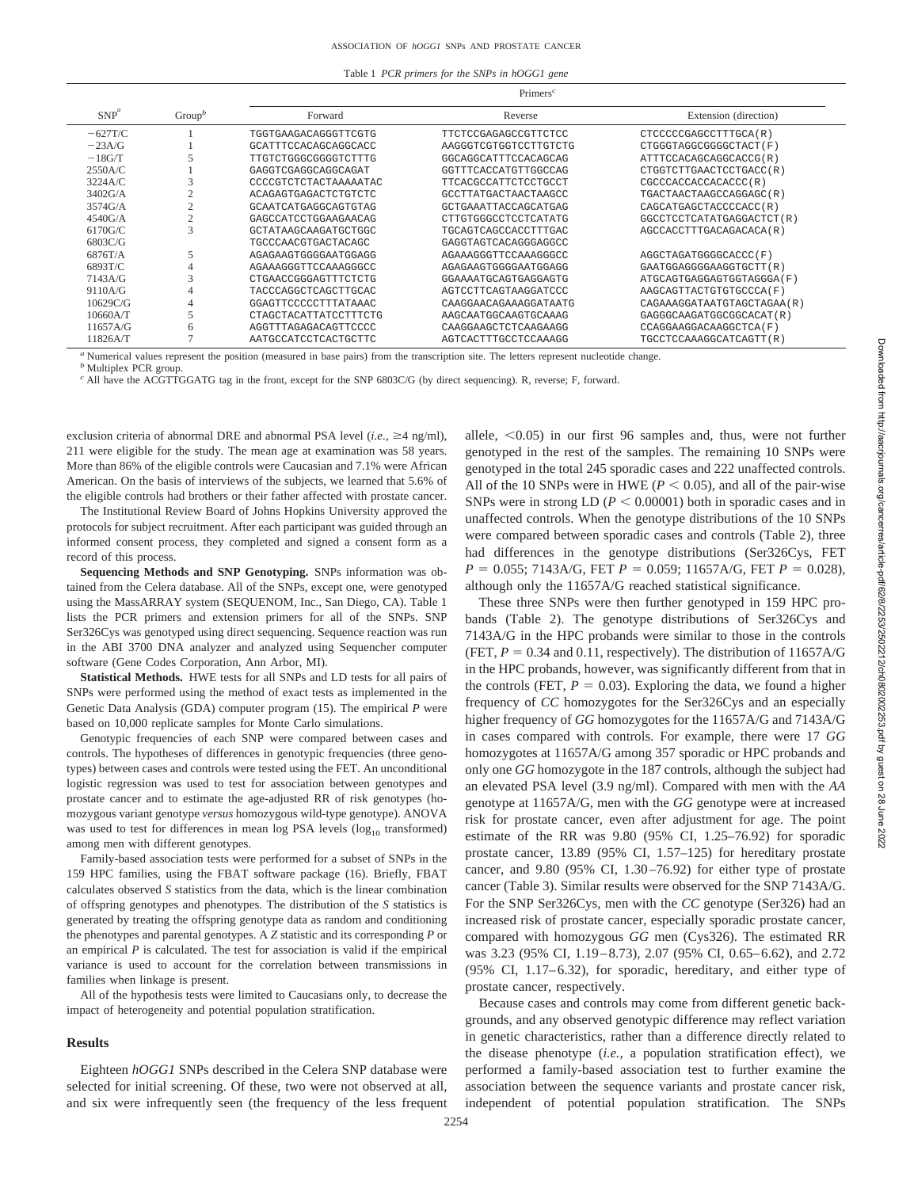| Table 1 PCR primers for the SNPs in hOGG1 gene |  |  |  |  |  |  |  |  |
|------------------------------------------------|--|--|--|--|--|--|--|--|
|------------------------------------------------|--|--|--|--|--|--|--|--|

|            |                    | $Primers^c$                  |                             |                             |  |  |
|------------|--------------------|------------------------------|-----------------------------|-----------------------------|--|--|
| $SNP^a$    | Group <sup>b</sup> | Forward                      | Reverse                     | Extension (direction)       |  |  |
| $-627T/C$  |                    | TGGTGAAGACAGGGTTCGTG         | <b>TTCTCCGAGAGCCGTTCTCC</b> | CTCCCCCGAGCCTTTGCA(R)       |  |  |
| $-23A/G$   |                    | GCATTTCCACAGCAGGCACC         | AAGGGTCGTGGTCCTTGTCTG       | CTGGGTAGGCGGGGCTACT (F)     |  |  |
| $-18G/T$   |                    | TTGTCTGGGCGGGGTCTTTG         | GGCAGGCATTTCCACAGCAG        | ATTTCCACAGCAGGCACCG(R)      |  |  |
| 2550A/C    |                    | GAGGTCGAGGCAGGCAGAT          | GGTTTCACCATGTTGGCCAG        | CTGGTCTTGAACTCCTGACC(R)     |  |  |
| 3224A/C    | 3                  | CCCCGTCTCTACTAAAAATAC        | <b>TTCACGCCATTCTCCTGCCT</b> | CGCCCACCACCACACCC(R)        |  |  |
| 3402G/A    | $\overline{c}$     | ACAGAGTGAGACTCTGTCTC         | GCCTTATGACTAACTAAGCC        | TGACTAACTAAGCCAGGAGC(R)     |  |  |
| $3574$ G/A |                    | GCAATCATGAGGCAGTGTAG         | GCTGAAATTACCAGCATGAG        | CAGCATGAGCTACCCCACC (R)     |  |  |
| 4540G/A    |                    | GAGCCATCCTGGAAGAACAG         | CTTGTGGGCCTCCTCATATG        | GGCCTCCTCATATGAGGACTCT (R)  |  |  |
| $6170$ G/C | 3                  | GCTATAAGCAAGATGCTGGC         | TGCAGTCAGCCACCTTTGAC        | AGCCACCTTTGACAGACACA(R)     |  |  |
| 6803C/G    |                    | TGCCCAACGTGACTACAGC          | GAGGTAGTCACAGGGAGGCC        |                             |  |  |
| 6876T/A    |                    | AGAGAAGTGGGGAATGGAGG         | AGAAAGGGTTCCAAAGGGCC        | AGGCTAGATGGGGCACCC (F)      |  |  |
| 6893T/C    |                    | AGAAAGGGTTCCAAAGGGCC         | AGAGAAGTGGGGAATGGAGG        | GAATGGAGGGGAAGGTGCTT (R)    |  |  |
| 7143A/G    | 3                  | CTGAACCGGGAGTTTCTCTG         | GGAAAATGCAGTGAGGAGTG        | ATGCAGTGAGGAGTGGTAGGGA (F)  |  |  |
| 9110A/G    | 4                  | TACCCAGGCTCAGCTTGCAC         | AGTCCTTCAGTAAGGATCCC        | AAGCAGTTACTGTGTGCCCA(F)     |  |  |
| 10629C/G   | 4                  | GGAGTTCCCCCTTTATAAAC         | CAAGGAACAGAAAGGATAATG       | CAGAAAGGATAATGTAGCTAGAA (R) |  |  |
| 10660A/T   |                    | <b>CTAGCTACATTATCCTTTCTG</b> | AAGCAATGGCAAGTGCAAAG        | GAGGGCAAGATGGCGGCACAT (R)   |  |  |
| 11657A/G   | 6                  | AGGTTTAGAGACAGTTCCCC         | CAAGGAAGCTCTCAAGAAGG        | CCAGGAAGGACAAGGCTCA (F)     |  |  |
| 11826A/T   |                    | AATGCCATCCTCACTGCTTC         | AGTCACTTTGCCTCCAAAGG        | TGCCTCCAAAGGCATCAGTT(R)     |  |  |

*<sup>a</sup>* Numerical values represent the position (measured in base pairs) from the transcription site. The letters represent nucleotide change.

*<sup>b</sup>* Multiplex PCR group.

<sup>*c*</sup> All have the ACGTTGGATG tag in the front, except for the SNP 6803C/G (by direct sequencing). R, reverse; F, forward.

exclusion criteria of abnormal DRE and abnormal PSA level  $(i.e., \geq 4$  ng/ml), 211 were eligible for the study. The mean age at examination was 58 years. More than 86% of the eligible controls were Caucasian and 7.1% were African American. On the basis of interviews of the subjects, we learned that 5.6% of the eligible controls had brothers or their father affected with prostate cancer.

The Institutional Review Board of Johns Hopkins University approved the protocols for subject recruitment. After each participant was guided through an informed consent process, they completed and signed a consent form as a record of this process.

**Sequencing Methods and SNP Genotyping.** SNPs information was obtained from the Celera database. All of the SNPs, except one, were genotyped using the MassARRAY system (SEQUENOM, Inc., San Diego, CA). Table 1 lists the PCR primers and extension primers for all of the SNPs. SNP Ser326Cys was genotyped using direct sequencing. Sequence reaction was run in the ABI 3700 DNA analyzer and analyzed using Sequencher computer software (Gene Codes Corporation, Ann Arbor, MI).

**Statistical Methods.** HWE tests for all SNPs and LD tests for all pairs of SNPs were performed using the method of exact tests as implemented in the Genetic Data Analysis (GDA) computer program (15). The empirical *P* were based on 10,000 replicate samples for Monte Carlo simulations.

Genotypic frequencies of each SNP were compared between cases and controls. The hypotheses of differences in genotypic frequencies (three genotypes) between cases and controls were tested using the FET. An unconditional logistic regression was used to test for association between genotypes and prostate cancer and to estimate the age-adjusted RR of risk genotypes (homozygous variant genotype *versus* homozygous wild-type genotype). ANOVA was used to test for differences in mean log PSA levels  $(log_{10}$  transformed) among men with different genotypes.

Family-based association tests were performed for a subset of SNPs in the 159 HPC families, using the FBAT software package (16). Briefly, FBAT calculates observed *S* statistics from the data, which is the linear combination of offspring genotypes and phenotypes. The distribution of the *S* statistics is generated by treating the offspring genotype data as random and conditioning the phenotypes and parental genotypes. A *Z* statistic and its corresponding *P* or an empirical  $P$  is calculated. The test for association is valid if the empirical variance is used to account for the correlation between transmissions in families when linkage is present.

All of the hypothesis tests were limited to Caucasians only, to decrease the impact of heterogeneity and potential population stratification.

#### **Results**

Eighteen *hOGG1* SNPs described in the Celera SNP database were selected for initial screening. Of these, two were not observed at all, and six were infrequently seen (the frequency of the less frequent

allele,  $< 0.05$ ) in our first 96 samples and, thus, were not further genotyped in the rest of the samples. The remaining 10 SNPs were genotyped in the total 245 sporadic cases and 222 unaffected controls. All of the 10 SNPs were in HWE ( $P < 0.05$ ), and all of the pair-wise SNPs were in strong LD  $(P < 0.00001)$  both in sporadic cases and in unaffected controls. When the genotype distributions of the 10 SNPs were compared between sporadic cases and controls (Table 2), three had differences in the genotype distributions (Ser326Cys, FET  $P = 0.055$ ; 7143A/G, FET  $P = 0.059$ ; 11657A/G, FET  $P = 0.028$ ), although only the 11657A/G reached statistical significance.

These three SNPs were then further genotyped in 159 HPC probands (Table 2). The genotype distributions of Ser326Cys and 7143A/G in the HPC probands were similar to those in the controls (FET,  $P = 0.34$  and 0.11, respectively). The distribution of 11657A/G in the HPC probands, however, was significantly different from that in the controls (FET,  $P = 0.03$ ). Exploring the data, we found a higher frequency of *CC* homozygotes for the Ser326Cys and an especially higher frequency of *GG* homozygotes for the 11657A/G and 7143A/G in cases compared with controls. For example, there were 17 *GG* homozygotes at 11657A/G among 357 sporadic or HPC probands and only one *GG* homozygote in the 187 controls, although the subject had an elevated PSA level (3.9 ng/ml). Compared with men with the *AA* genotype at 11657A/G, men with the *GG* genotype were at increased risk for prostate cancer, even after adjustment for age. The point estimate of the RR was 9.80 (95% CI, 1.25–76.92) for sporadic prostate cancer, 13.89 (95% CI, 1.57–125) for hereditary prostate cancer, and 9.80 (95% CI, 1.30–76.92) for either type of prostate cancer (Table 3). Similar results were observed for the SNP 7143A/G. For the SNP Ser326Cys, men with the *CC* genotype (Ser326) had an increased risk of prostate cancer, especially sporadic prostate cancer, compared with homozygous *GG* men (Cys326). The estimated RR was 3.23 (95% CI, 1.19–8.73), 2.07 (95% CI, 0.65–6.62), and 2.72 (95% CI, 1.17–6.32), for sporadic, hereditary, and either type of prostate cancer, respectively.

Because cases and controls may come from different genetic backgrounds, and any observed genotypic difference may reflect variation in genetic characteristics, rather than a difference directly related to the disease phenotype (*i.e.*, a population stratification effect), we performed a family-based association test to further examine the association between the sequence variants and prostate cancer risk, independent of potential population stratification. The SNPs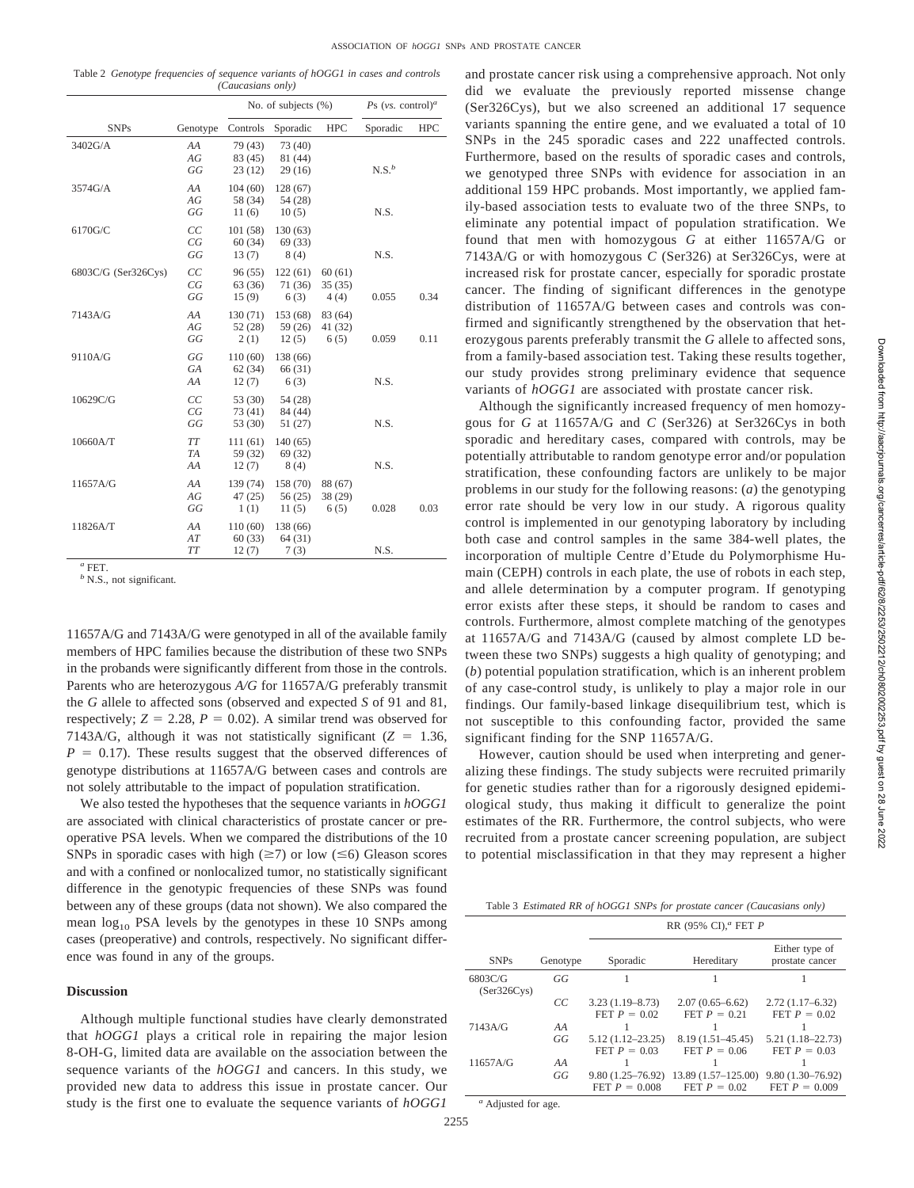Table 2 *Genotype frequencies of sequence variants of hOGG1 in cases and controls (Caucasians only)*

|                     |                       | No. of subjects $(\%)$        |                               |                            | Ps (vs. control) <sup>a</sup> |            |
|---------------------|-----------------------|-------------------------------|-------------------------------|----------------------------|-------------------------------|------------|
| <b>SNPs</b>         | Genotype              | Controls                      | Sporadic                      | <b>HPC</b>                 | Sporadic                      | <b>HPC</b> |
| 3402G/A             | AA<br>AG<br>GG        | 79 (43)<br>83 (45)<br>23(12)  | 73 (40)<br>81 (44)<br>29(16)  |                            | $N.S.^b$                      |            |
| 3574G/A             | AA<br>AG<br>GG        | 104(60)<br>58 (34)<br>11(6)   | 128 (67)<br>54 (28)<br>10(5)  |                            | N.S.                          |            |
| 6170G/C             | CC<br>CG<br>GG        | 101(58)<br>60(34)<br>13(7)    | 130(63)<br>69 (33)<br>8(4)    |                            | N.S.                          |            |
| 6803C/G (Ser326Cys) | CC<br>CG<br>GG        | 96(55)<br>63(36)<br>15(9)     | 122(61)<br>71 (36)<br>6(3)    | 60(61)<br>35(35)<br>4(4)   | 0.055                         | 0.34       |
| 7143A/G             | AA<br>AG<br>GG        | 130 (71)<br>52(28)<br>2(1)    | 153 (68)<br>59 (26)<br>12(5)  | 83 (64)<br>41 (32)<br>6(5) | 0.059                         | 0.11       |
| 9110A/G             | GG<br>GA<br>AA        | 110(60)<br>62(34)<br>12(7)    | 138 (66)<br>66 (31)<br>6(3)   |                            | N.S.                          |            |
| 10629C/G            | CC<br>CG<br>GG        | 53 (30)<br>73 (41)<br>53 (30) | 54 (28)<br>84 (44)<br>51 (27) |                            | N.S.                          |            |
| 10660A/T            | TT<br><b>TA</b><br>AA | 111(61)<br>59 (32)<br>12(7)   | 140(65)<br>69 (32)<br>8(4)    |                            | N.S.                          |            |
| 11657A/G            | AA<br>AG<br>GG        | 139 (74)<br>47(25)<br>1(1)    | 158 (70)<br>56(25)<br>11(5)   | 88 (67)<br>38(29)<br>6(5)  | 0.028                         | 0.03       |
| 11826A/T            | AA<br>AT<br>TT        | 110(60)<br>60(33)<br>12(7)    | 138 (66)<br>64(31)<br>7(3)    |                            | N.S.                          |            |

*<sup>a</sup>* FET.

*<sup>b</sup>* N.S., not significant.

11657A/G and 7143A/G were genotyped in all of the available family members of HPC families because the distribution of these two SNPs in the probands were significantly different from those in the controls. Parents who are heterozygous *A/G* for 11657A/G preferably transmit the *G* allele to affected sons (observed and expected *S* of 91 and 81, respectively;  $Z = 2.28$ ,  $P = 0.02$ ). A similar trend was observed for 7143A/G, although it was not statistically significant  $(Z = 1.36,$  $P = 0.17$ ). These results suggest that the observed differences of genotype distributions at 11657A/G between cases and controls are not solely attributable to the impact of population stratification.

We also tested the hypotheses that the sequence variants in *hOGG1* are associated with clinical characteristics of prostate cancer or preoperative PSA levels. When we compared the distributions of the 10 SNPs in sporadic cases with high  $(\geq 7)$  or low  $(\leq 6)$  Gleason scores and with a confined or nonlocalized tumor, no statistically significant difference in the genotypic frequencies of these SNPs was found between any of these groups (data not shown). We also compared the mean  $log_{10}$  PSA levels by the genotypes in these 10 SNPs among cases (preoperative) and controls, respectively. No significant difference was found in any of the groups.

# **Discussion**

Although multiple functional studies have clearly demonstrated that *hOGG1* plays a critical role in repairing the major lesion 8-OH-G, limited data are available on the association between the sequence variants of the *hOGG1* and cancers. In this study, we provided new data to address this issue in prostate cancer. Our study is the first one to evaluate the sequence variants of *hOGG1*

and prostate cancer risk using a comprehensive approach. Not only did we evaluate the previously reported missense change (Ser326Cys), but we also screened an additional 17 sequence variants spanning the entire gene, and we evaluated a total of 10 SNPs in the 245 sporadic cases and 222 unaffected controls. Furthermore, based on the results of sporadic cases and controls, we genotyped three SNPs with evidence for association in an additional 159 HPC probands. Most importantly, we applied family-based association tests to evaluate two of the three SNPs, to eliminate any potential impact of population stratification. We found that men with homozygous *G* at either 11657A/G or 7143A/G or with homozygous *C* (Ser326) at Ser326Cys, were at increased risk for prostate cancer, especially for sporadic prostate cancer. The finding of significant differences in the genotype distribution of 11657A/G between cases and controls was confirmed and significantly strengthened by the observation that heterozygous parents preferably transmit the *G* allele to affected sons, from a family-based association test. Taking these results together, our study provides strong preliminary evidence that sequence variants of *hOGG1* are associated with prostate cancer risk.

Although the significantly increased frequency of men homozygous for *G* at 11657A/G and *C* (Ser326) at Ser326Cys in both sporadic and hereditary cases, compared with controls, may be potentially attributable to random genotype error and/or population stratification, these confounding factors are unlikely to be major problems in our study for the following reasons: (*a*) the genotyping error rate should be very low in our study. A rigorous quality control is implemented in our genotyping laboratory by including both case and control samples in the same 384-well plates, the incorporation of multiple Centre d'Etude du Polymorphisme Humain (CEPH) controls in each plate, the use of robots in each step, and allele determination by a computer program. If genotyping error exists after these steps, it should be random to cases and controls. Furthermore, almost complete matching of the genotypes at 11657A/G and 7143A/G (caused by almost complete LD between these two SNPs) suggests a high quality of genotyping; and (*b*) potential population stratification, which is an inherent problem of any case-control study, is unlikely to play a major role in our findings. Our family-based linkage disequilibrium test, which is not susceptible to this confounding factor, provided the same significant finding for the SNP 11657A/G.

However, caution should be used when interpreting and generalizing these findings. The study subjects were recruited primarily for genetic studies rather than for a rigorously designed epidemiological study, thus making it difficult to generalize the point estimates of the RR. Furthermore, the control subjects, who were recruited from a prostate cancer screening population, are subject to potential misclassification in that they may represent a higher

|  | Table 3 Estimated RR of hOGG1 SNPs for prostate cancer (Caucasians only) |  |  |  |
|--|--------------------------------------------------------------------------|--|--|--|
|--|--------------------------------------------------------------------------|--|--|--|

|                        |          | RR (95% CI), <sup><math>a</math></sup> FET P |                                        |                                        |  |  |
|------------------------|----------|----------------------------------------------|----------------------------------------|----------------------------------------|--|--|
| <b>SNPs</b>            | Genotype | Sporadic                                     | Hereditary                             | Either type of<br>prostate cancer      |  |  |
| 6803C/G<br>(Ser326Cys) | GG       |                                              |                                        |                                        |  |  |
|                        | СC       | $3.23(1.19 - 8.73)$<br>FET $P = 0.02$        | $2.07(0.65 - 6.62)$<br>FET $P = 0.21$  | $2.72(1.17-6.32)$<br>FET $P = 0.02$    |  |  |
| 7143A/G                | AA       |                                              |                                        |                                        |  |  |
|                        | GG       | $5.12(1.12 - 23.25)$<br>FET $P = 0.03$       | $8.19(1.51 - 45.45)$<br>FET $P = 0.06$ | $5.21(1.18 - 22.73)$<br>FET $P = 0.03$ |  |  |
| 11657A/G               | AA       |                                              |                                        |                                        |  |  |
|                        | GG       | $9.80(1.25 - 76.92)$                         | $13.89(1.57-125.00)$                   | $9.80(1.30 - 76.92)$                   |  |  |
|                        |          | FET $P = 0.008$                              | FET $P = 0.02$                         | FET $P = 0.009$                        |  |  |

*<sup>a</sup>* Adjusted for age.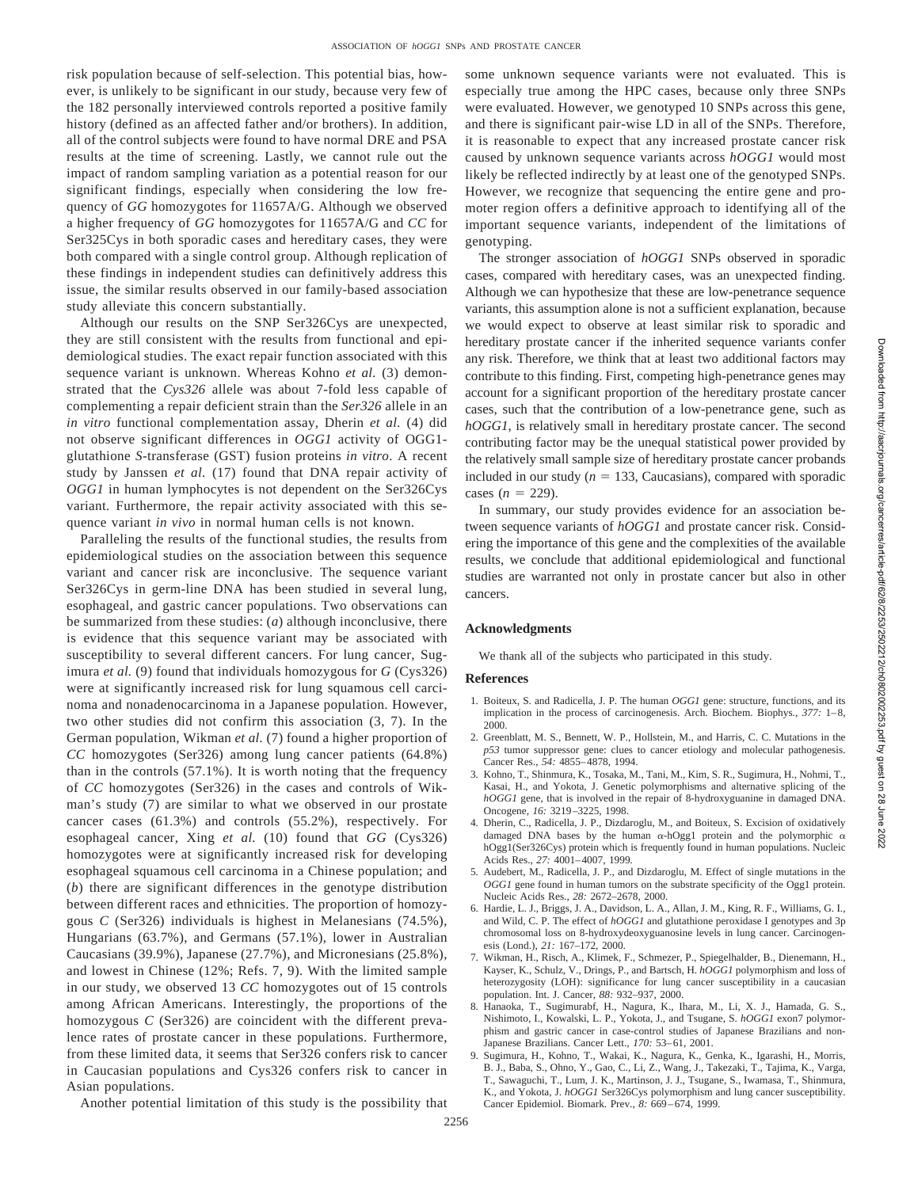risk population because of self-selection. This potential bias, however, is unlikely to be significant in our study, because very few of the 182 personally interviewed controls reported a positive family history (defined as an affected father and/or brothers). In addition, all of the control subjects were found to have normal DRE and PSA results at the time of screening. Lastly, we cannot rule out the impact of random sampling variation as a potential reason for our significant findings, especially when considering the low frequency of *GG* homozygotes for 11657A/G. Although we observed a higher frequency of *GG* homozygotes for 11657A/G and *CC* for Ser325Cys in both sporadic cases and hereditary cases, they were both compared with a single control group. Although replication of these findings in independent studies can definitively address this issue, the similar results observed in our family-based association study alleviate this concern substantially.

Although our results on the SNP Ser326Cys are unexpected, they are still consistent with the results from functional and epidemiological studies. The exact repair function associated with this sequence variant is unknown. Whereas Kohno *et al.* (3) demonstrated that the *Cys326* allele was about 7-fold less capable of complementing a repair deficient strain than the *Ser326* allele in an *in vitro* functional complementation assay, Dherin *et al.* (4) did not observe significant differences in *OGG1* activity of OGG1 glutathione *S*-transferase (GST) fusion proteins *in vitro*. A recent study by Janssen *et al.* (17) found that DNA repair activity of *OGG1* in human lymphocytes is not dependent on the Ser326Cys variant. Furthermore, the repair activity associated with this sequence variant *in vivo* in normal human cells is not known.

Paralleling the results of the functional studies, the results from epidemiological studies on the association between this sequence variant and cancer risk are inconclusive. The sequence variant Ser326Cys in germ-line DNA has been studied in several lung, esophageal, and gastric cancer populations. Two observations can be summarized from these studies: (*a*) although inconclusive, there is evidence that this sequence variant may be associated with susceptibility to several different cancers. For lung cancer, Sugimura *et al.* (9) found that individuals homozygous for *G* (Cys326) were at significantly increased risk for lung squamous cell carcinoma and nonadenocarcinoma in a Japanese population. However, two other studies did not confirm this association (3, 7). In the German population, Wikman *et al.* (7) found a higher proportion of *CC* homozygotes (Ser326) among lung cancer patients (64.8%) than in the controls (57.1%). It is worth noting that the frequency of *CC* homozygotes (Ser326) in the cases and controls of Wikman's study (7) are similar to what we observed in our prostate cancer cases (61.3%) and controls (55.2%), respectively. For esophageal cancer, Xing *et al.* (10) found that *GG* (Cys326) homozygotes were at significantly increased risk for developing esophageal squamous cell carcinoma in a Chinese population; and (*b*) there are significant differences in the genotype distribution between different races and ethnicities. The proportion of homozygous *C* (Ser326) individuals is highest in Melanesians (74.5%), Hungarians (63.7%), and Germans (57.1%), lower in Australian Caucasians (39.9%), Japanese (27.7%), and Micronesians (25.8%), and lowest in Chinese (12%; Refs. 7, 9). With the limited sample in our study, we observed 13 *CC* homozygotes out of 15 controls among African Americans. Interestingly, the proportions of the homozygous *C* (Ser326) are coincident with the different prevalence rates of prostate cancer in these populations. Furthermore, from these limited data, it seems that Ser326 confers risk to cancer in Caucasian populations and Cys326 confers risk to cancer in Asian populations.

some unknown sequence variants were not evaluated. This is especially true among the HPC cases, because only three SNPs were evaluated. However, we genotyped 10 SNPs across this gene, and there is significant pair-wise LD in all of the SNPs. Therefore, it is reasonable to expect that any increased prostate cancer risk caused by unknown sequence variants across *hOGG1* would most likely be reflected indirectly by at least one of the genotyped SNPs. However, we recognize that sequencing the entire gene and promoter region offers a definitive approach to identifying all of the important sequence variants, independent of the limitations of genotyping.

The stronger association of *hOGG1* SNPs observed in sporadic cases, compared with hereditary cases, was an unexpected finding. Although we can hypothesize that these are low-penetrance sequence variants, this assumption alone is not a sufficient explanation, because we would expect to observe at least similar risk to sporadic and hereditary prostate cancer if the inherited sequence variants confer any risk. Therefore, we think that at least two additional factors may contribute to this finding. First, competing high-penetrance genes may account for a significant proportion of the hereditary prostate cancer cases, such that the contribution of a low-penetrance gene, such as *hOGG1*, is relatively small in hereditary prostate cancer. The second contributing factor may be the unequal statistical power provided by the relatively small sample size of hereditary prostate cancer probands included in our study  $(n = 133, \text{Caucasians})$ , compared with sporadic cases  $(n = 229)$ .

In summary, our study provides evidence for an association between sequence variants of *hOGG1* and prostate cancer risk. Considering the importance of this gene and the complexities of the available results, we conclude that additional epidemiological and functional studies are warranted not only in prostate cancer but also in other cancers.

#### **Acknowledgments**

We thank all of the subjects who participated in this study.

## **References**

2256

- 1. Boiteux, S. and Radicella, J. P. The human *OGG1* gene: structure, functions, and its implication in the process of carcinogenesis. Arch. Biochem. Biophys., *377:* 1–8, 2000.
- 2. Greenblatt, M. S., Bennett, W. P., Hollstein, M., and Harris, C. C. Mutations in the *p53* tumor suppressor gene: clues to cancer etiology and molecular pathogenesis. Cancer Res., *54:* 4855–4878, 1994.
- 3. Kohno, T., Shinmura, K., Tosaka, M., Tani, M., Kim, S. R., Sugimura, H., Nohmi, T., Kasai, H., and Yokota, J. Genetic polymorphisms and alternative splicing of the *hOGG1* gene, that is involved in the repair of 8-hydroxyguanine in damaged DNA. Oncogene, *16:* 3219–3225, 1998.
- 4. Dherin, C., Radicella, J. P., Dizdaroglu, M., and Boiteux, S. Excision of oxidatively damaged DNA bases by the human  $\alpha$ -hOgg1 protein and the polymorphic  $\alpha$ hOgg1(Ser326Cys) protein which is frequently found in human populations. Nucleic Acids Res., *27:* 4001–4007, 1999.
- 5. Audebert, M., Radicella, J. P., and Dizdaroglu, M. Effect of single mutations in the *OGG1* gene found in human tumors on the substrate specificity of the Ogg1 protein. Nucleic Acids Res., *28:* 2672–2678, 2000.
- 6. Hardie, L. J., Briggs, J. A., Davidson, L. A., Allan, J. M., King, R. F., Williams, G. I., and Wild, C. P. The effect of *hOGG1* and glutathione peroxidase I genotypes and 3p chromosomal loss on 8-hydroxydeoxyguanosine levels in lung cancer. Carcinogenesis (Lond.), *21:* 167–172, 2000.
- 7. Wikman, H., Risch, A., Klimek, F., Schmezer, P., Spiegelhalder, B., Dienemann, H., Kayser, K., Schulz, V., Drings, P., and Bartsch, H. *hOGG1* polymorphism and loss of heterozygosity (LOH): significance for lung cancer susceptibility in a caucasian population. Int. J. Cancer, *88:* 932–937, 2000.
- 8. Hanaoka, T., Sugimurabf, H., Nagura, K., Ihara, M., Li, X. J., Hamada, G. S., Nishimoto, I., Kowalski, L. P., Yokota, J., and Tsugane, S. *hOGG1* exon7 polymorphism and gastric cancer in case-control studies of Japanese Brazilians and non-Japanese Brazilians. Cancer Lett., *170:* 53–61, 2001.
- 9. Sugimura, H., Kohno, T., Wakai, K., Nagura, K., Genka, K., Igarashi, H., Morris, B. J., Baba, S., Ohno, Y., Gao, C., Li, Z., Wang, J., Takezaki, T., Tajima, K., Varga, T., Sawaguchi, T., Lum, J. K., Martinson, J. J., Tsugane, S., Iwamasa, T., Shinmura, K., and Yokota, J. *hOGG1* Ser326Cys polymorphism and lung cancer susceptibility. Cancer Epidemiol. Biomark. Prev., *8:* 669–674, 1999.

Another potential limitation of this study is the possibility that